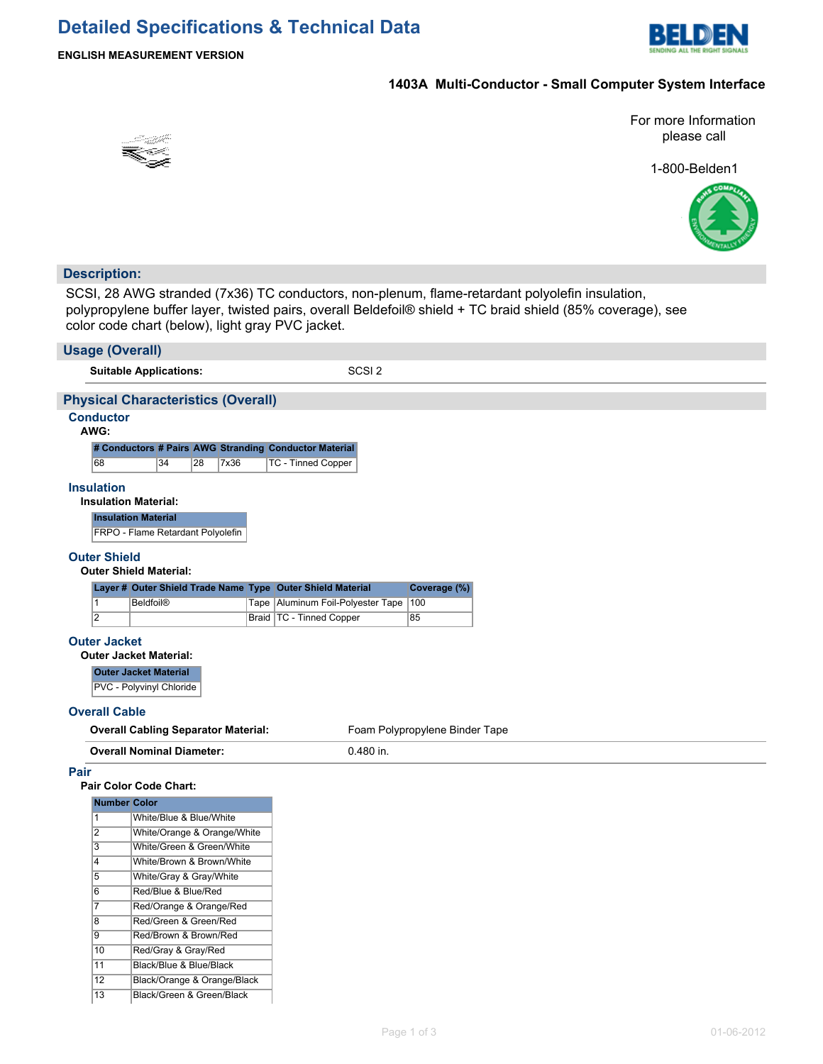

### **ENGLISH MEASUREMENT VERSION**

## **1403A Multi-Conductor - Small Computer System Interface**

For more Information please call

1-800-Belden1



### **Description:**

SCSI, 28 AWG stranded (7x36) TC conductors, non-plenum, flame-retardant polyolefin insulation, polypropylene buffer layer, twisted pairs, overall Beldefoil® shield + TC braid shield (85% coverage), see color code chart (below), light gray PVC jacket.

| COIOI COUE CHAIT (DEIOW), light gray FVC jacket. |                             |  |                                                            |                                |  |  |  |  |  |
|--------------------------------------------------|-----------------------------|--|------------------------------------------------------------|--------------------------------|--|--|--|--|--|
| <b>Usage (Overall)</b>                           |                             |  |                                                            |                                |  |  |  |  |  |
| <b>Suitable Applications:</b>                    |                             |  | SCSI <sub>2</sub>                                          |                                |  |  |  |  |  |
| <b>Physical Characteristics (Overall)</b>        |                             |  |                                                            |                                |  |  |  |  |  |
| <b>Conductor</b>                                 |                             |  |                                                            |                                |  |  |  |  |  |
| AWG:                                             |                             |  |                                                            |                                |  |  |  |  |  |
|                                                  |                             |  | # Conductors # Pairs AWG Stranding Conductor Material      |                                |  |  |  |  |  |
| 68<br>34                                         | 28<br>7x36                  |  | TC - Tinned Copper                                         |                                |  |  |  |  |  |
| <b>Insulation</b>                                |                             |  |                                                            |                                |  |  |  |  |  |
| <b>Insulation Material:</b>                      |                             |  |                                                            |                                |  |  |  |  |  |
| <b>Insulation Material</b>                       |                             |  |                                                            |                                |  |  |  |  |  |
| FRPO - Flame Retardant Polyolefin                |                             |  |                                                            |                                |  |  |  |  |  |
| <b>Outer Shield</b>                              |                             |  |                                                            |                                |  |  |  |  |  |
| <b>Outer Shield Material:</b>                    |                             |  |                                                            |                                |  |  |  |  |  |
|                                                  |                             |  | Layer # Outer Shield Trade Name Type Outer Shield Material | Coverage (%)                   |  |  |  |  |  |
| $\mathbf{1}$<br><b>Beldfoil®</b>                 |                             |  | Tape   Aluminum Foil-Polyester Tape                        | 100                            |  |  |  |  |  |
| $\overline{2}$                                   |                             |  | Braid   TC - Tinned Copper                                 | 85                             |  |  |  |  |  |
| <b>Outer Jacket</b>                              |                             |  |                                                            |                                |  |  |  |  |  |
| <b>Outer Jacket Material:</b>                    |                             |  |                                                            |                                |  |  |  |  |  |
| <b>Outer Jacket Material</b>                     |                             |  |                                                            |                                |  |  |  |  |  |
| PVC - Polyvinyl Chloride                         |                             |  |                                                            |                                |  |  |  |  |  |
|                                                  |                             |  |                                                            |                                |  |  |  |  |  |
| <b>Overall Cable</b>                             |                             |  |                                                            |                                |  |  |  |  |  |
| <b>Overall Cabling Separator Material:</b>       |                             |  |                                                            | Foam Polypropylene Binder Tape |  |  |  |  |  |
| <b>Overall Nominal Diameter:</b>                 |                             |  | 0.480 in.                                                  |                                |  |  |  |  |  |
| Pair                                             |                             |  |                                                            |                                |  |  |  |  |  |
| Pair Color Code Chart:                           |                             |  |                                                            |                                |  |  |  |  |  |
| <b>Number Color</b>                              |                             |  |                                                            |                                |  |  |  |  |  |
| $\mathbf{1}$                                     | White/Blue & Blue/White     |  |                                                            |                                |  |  |  |  |  |
| $\overline{2}$                                   | White/Orange & Orange/White |  |                                                            |                                |  |  |  |  |  |
| $\overline{\mathbf{3}}$                          | White/Green & Green/White   |  |                                                            |                                |  |  |  |  |  |
| $\overline{4}$                                   | White/Brown & Brown/White   |  |                                                            |                                |  |  |  |  |  |
| $\overline{5}$                                   | White/Gray & Gray/White     |  |                                                            |                                |  |  |  |  |  |
| $\overline{6}$                                   | Red/Blue & Blue/Red         |  |                                                            |                                |  |  |  |  |  |
| $\overline{7}$                                   | Red/Orange & Orange/Red     |  |                                                            |                                |  |  |  |  |  |
| $\overline{8}$                                   | Red/Green & Green/Red       |  |                                                            |                                |  |  |  |  |  |
| $\overline{9}$                                   | Red/Brown & Brown/Red       |  |                                                            |                                |  |  |  |  |  |
| 10                                               | Red/Gray & Gray/Red         |  |                                                            |                                |  |  |  |  |  |
| 11                                               | Black/Blue & Blue/Black     |  |                                                            |                                |  |  |  |  |  |
| $\overline{12}$<br>Black/Orange & Orange/Black   |                             |  |                                                            |                                |  |  |  |  |  |
| 13                                               | Black/Green & Green/Black   |  |                                                            |                                |  |  |  |  |  |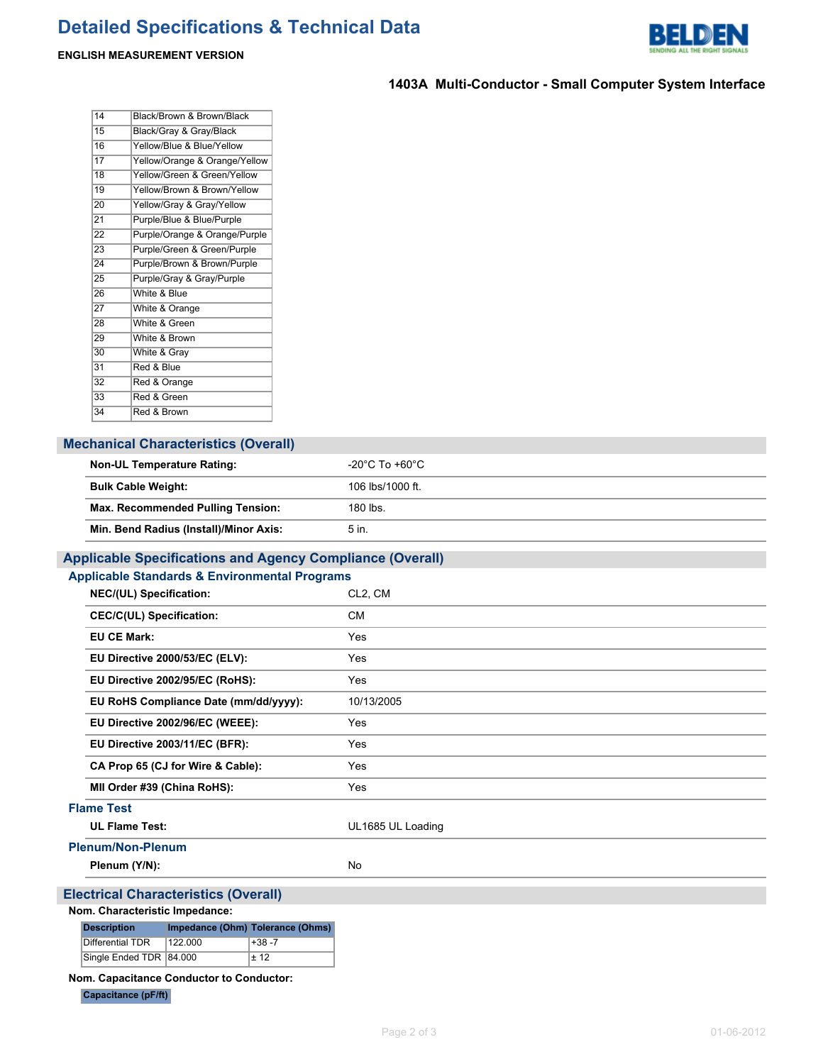# **Detailed Specifications & Technical Data**



### **ENGLISH MEASUREMENT VERSION**

## **1403A Multi-Conductor - Small Computer System Interface**

| 14              | Black/Brown & Brown/Black     |
|-----------------|-------------------------------|
| 15              | Black/Gray & Gray/Black       |
| 16              | Yellow/Blue & Blue/Yellow     |
| 17              | Yellow/Orange & Orange/Yellow |
| 18              | Yellow/Green & Green/Yellow   |
| 19              | Yellow/Brown & Brown/Yellow   |
| 20              | Yellow/Gray & Gray/Yellow     |
| $2\overline{1}$ | Purple/Blue & Blue/Purple     |
| $\overline{22}$ | Purple/Orange & Orange/Purple |
| 23              | Purple/Green & Green/Purple   |
| 24              | Purple/Brown & Brown/Purple   |
| 25              | Purple/Gray & Gray/Purple     |
| 26              | White & Blue                  |
| 27              | White & Orange                |
| $\overline{28}$ | White & Green                 |
| 29              | White & Brown                 |
| 30              | White & Gray                  |
| 31              | Red & Blue                    |
| 32              | Red & Orange                  |
| 33              | Red & Green                   |
| 34              | Red & Brown                   |

## **Mechanical Characteristics (Overall)**

| <b>Non-UL Temperature Rating:</b>        | -20 $^{\circ}$ C To +60 $^{\circ}$ C |
|------------------------------------------|--------------------------------------|
| <b>Bulk Cable Weight:</b>                | 106 lbs/1000 ft.                     |
| <b>Max. Recommended Pulling Tension:</b> | 180 lbs.                             |
| Min. Bend Radius (Install)/Minor Axis:   | 5 in.                                |

## **Applicable Specifications and Agency Compliance (Overall)**

| <b>Applicable Standards &amp; Environmental Programs</b> |                      |  |  |  |  |
|----------------------------------------------------------|----------------------|--|--|--|--|
| <b>NEC/(UL) Specification:</b>                           | CL <sub>2</sub> , CM |  |  |  |  |
| <b>CEC/C(UL) Specification:</b>                          | <b>CM</b>            |  |  |  |  |
| <b>EU CE Mark:</b>                                       | Yes                  |  |  |  |  |
| EU Directive 2000/53/EC (ELV):                           | Yes                  |  |  |  |  |
| EU Directive 2002/95/EC (RoHS):                          | Yes                  |  |  |  |  |
| EU RoHS Compliance Date (mm/dd/yyyy):                    | 10/13/2005           |  |  |  |  |
| EU Directive 2002/96/EC (WEEE):                          | Yes                  |  |  |  |  |
| EU Directive 2003/11/EC (BFR):                           | Yes                  |  |  |  |  |
| CA Prop 65 (CJ for Wire & Cable):                        | Yes                  |  |  |  |  |
| MII Order #39 (China RoHS):                              | Yes                  |  |  |  |  |
| <b>Flame Test</b>                                        |                      |  |  |  |  |
| <b>UL Flame Test:</b>                                    | UL1685 UL Loading    |  |  |  |  |
| <b>Plenum/Non-Plenum</b>                                 |                      |  |  |  |  |
| Plenum (Y/N):                                            | No                   |  |  |  |  |
| <b>Electrical Characteristics (Overall)</b>              |                      |  |  |  |  |

#### **Nom. Characteristic Impedance:**

| <b>Description</b>       |         | Impedance (Ohm) Tolerance (Ohms) |  |  |
|--------------------------|---------|----------------------------------|--|--|
| Differential TDR         | 122,000 | +38 -7                           |  |  |
| Single Ended TDR  84.000 |         | + 12                             |  |  |

#### **Nom. Capacitance Conductor to Conductor:**

**Capacitance (pF/ft)**